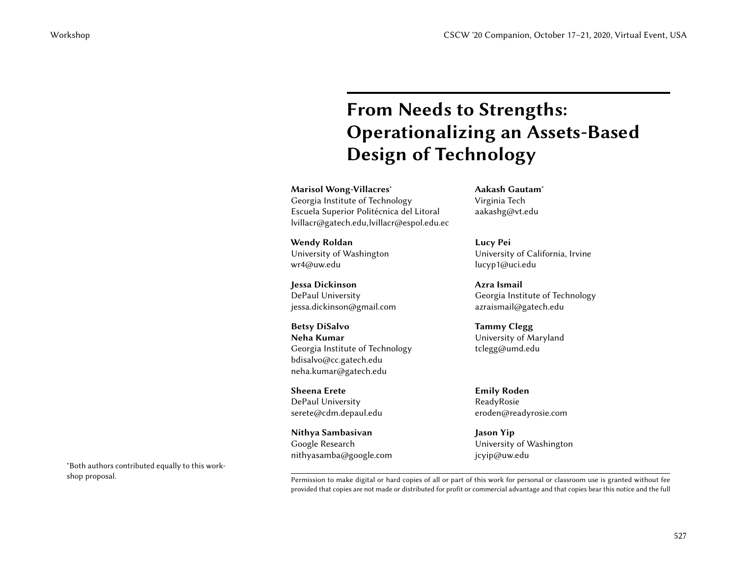# From Needs to Strengths: Operationalizing an Assets-Based Design of Technology CSCW '20 Companion, October 17–21, 2020, Virtual Event, USA<br>
Companion, October 17–21, 2020, Virtual Event, USA<br>
Companion, October 17–21, 2020, Virtual Event, USA<br>
Usersign of Technology<br>
Maria Companion of Technology<br>
M

Marisol Wong-Villacres<sup>∗</sup> Georgia Institute of Technology Escuela Superior Politécnica del Litoral lvillacr@gatech.edu,lvillacr@espol.edu.ec

Wendy Roldan University of Washington wr4@uw.edu

Jessa Dickinson DePaul University jessa.dickinson@gmail.com

Betsy DiSalvo Neha Kumar Georgia Institute of Technology bdisalvo@cc.gatech.edu neha.kumar@gatech.edu

Sheena Erete DePaul University serete@cdm.depaul.edu

Nithya Sambasivan Google Research nithyasamba@google.com Aakash Gautam<sup>∗</sup> Virginia Tech aakashg@vt.edu

Lucy Pei University of California, Irvine lucyp1@uci.edu

Azra Ismail Georgia Institute of Technology azraismail@gatech.edu

Tammy Clegg University of Maryland tclegg@umd.edu

Emily Roden ReadyRosie eroden@readyrosie.com

Jason Yip University of Washington jcyip@uw.edu

<sup>∗</sup>Both authors contributed equally to this work-

shop proposal. The superposal is a superposed of this work for personal or classroom use is granted without fee provided that copies are not made or distributed for profit or commercial advantage and that copies bear this notice and the full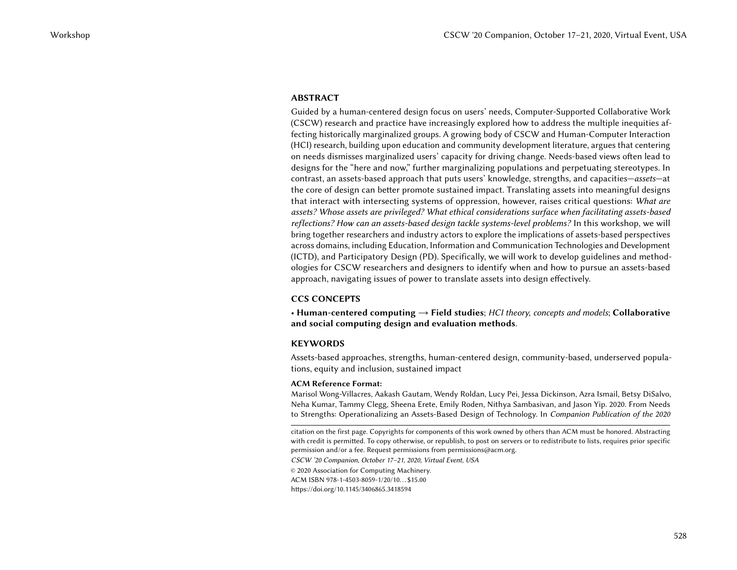## ABSTRACT

Guided by a human-centered design focus on users' needs, Computer-Supported Collaborative Work (CSCW) research and practice have increasingly explored how to address the multiple inequities affecting historically marginalized groups. A growing body of CSCW and Human-Computer Interaction (HCI) research, building upon education and community development literature, argues that centering on needs dismisses marginalized users' capacity for driving change. Needs-based views often lead to designs for the "here and now," further marginalizing populations and perpetuating stereotypes. In contrast, an assets-based approach that puts users' knowledge, strengths, and capacities—assets—at the core of design can better promote sustained impact. Translating assets into meaningful designs that interact with intersecting systems of oppression, however, raises critical questions: What are assets? Whose assets are privileged? What ethical considerations surface when facilitating assets-based reflections? How can an assets-based design tackle systems-level problems? In this workshop, we will bring together researchers and industry actors to explore the implications of assets-based perspectives across domains, including Education, Information and Communication Technologies and Development (ICTD), and Participatory Design (PD). Specifically, we will work to develop guidelines and methodologies for CSCW researchers and designers to identify when and how to pursue an assets-based approach, navigating issues of power to translate assets into design effectively. CSCW '20 Companion, October 17–21, 2020, Virtual Event, USA<br>
Workshop Considers the main control of the state of the state of the state of the state of CSC (CSC) the main control of the state of the state of the state of

## CCS CONCEPTS

• Human-centered computing  $\rightarrow$  Field studies; HCI theory, concepts and models; Collaborative and social computing design and evaluation methods.

## **KEYWORDS**

Assets-based approaches, strengths, human-centered design, community-based, underserved populations, equity and inclusion, sustained impact

#### ACM Reference Format:

Marisol Wong-Villacres, Aakash Gautam, Wendy Roldan, Lucy Pei, Jessa Dickinson, Azra Ismail, Betsy DiSalvo, Neha Kumar, Tammy Clegg, Sheena Erete, Emily Roden, Nithya Sambasivan, and Jason Yip. 2020. From Needs to Strengths: Operationalizing an Assets-Based Design of Technology. In Companion Publication of the 2020

citation on the first page. Copyrights for components of this work owned by others than ACM must be honored. Abstracting with credit is permitted. To copy otherwise, or republish, to post on servers or to redistribute to lists, requires prior specific permission and/or a fee. Request permissions from permissions@acm.org.

CSCW '20 Companion, October 17–21, 2020, Virtual Event, USA

© 2020 Association for Computing Machinery.

ACM ISBN 978-1-4503-8059-1/20/10. . . \$15.00

<https://doi.org/10.1145/3406865.3418594>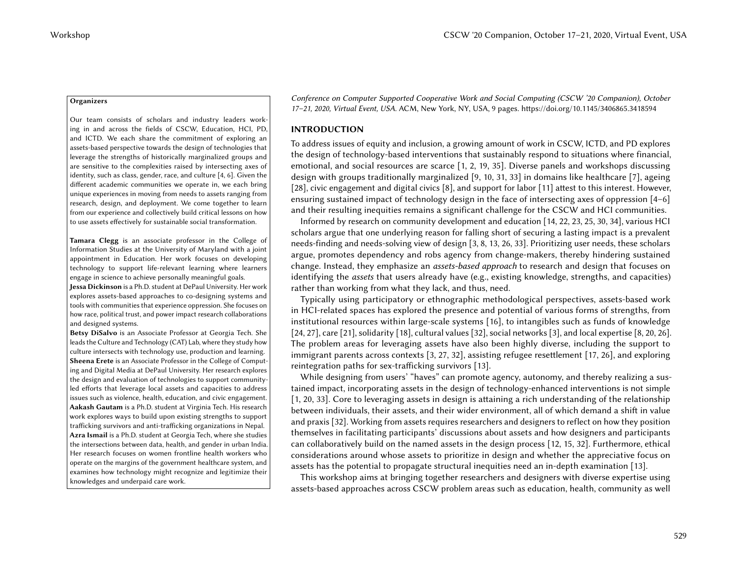#### **Organizers**

Our team consists of scholars and industry leaders working in and across the fields of CSCW, Education, HCI, PD, and ICTD. We each share the commitment of exploring an assets-based perspective towards the design of technologies that leverage the strengths of historically marginalized groups and are sensitive to the complexities raised by intersecting axes of identity, such as class, gender, race, and culture [\[4,](#page-6-0) [6\]](#page-6-1). Given the different academic communities we operate in, we each bring unique experiences in moving from needs to assets ranging from research, design, and deployment. We come together to learn from our experience and collectively build critical lessons on how to use assets effectively for sustainable social transformation.

Tamara Clegg is an associate professor in the College of Information Studies at the University of Maryland with a joint appointment in Education. Her work focuses on developing technology to support life-relevant learning where learners engage in science to achieve personally meaningful goals.

Jessa Dickinson is a Ph.D. student at DePaul University. Her work explores assets-based approaches to co-designing systems and tools with communities that experience oppression. She focuses on how race, political trust, and power impact research collaborations and designed systems.

Betsy DiSalvo is an Associate Professor at Georgia Tech. She leads the Culture and Technology (CAT) Lab, where they study how culture intersects with technology use, production and learning. Sheena Erete is an Associate Professor in the College of Computing and Digital Media at DePaul University. Her research explores the design and evaluation of technologies to support communityled efforts that leverage local assets and capacities to address issues such as violence, health, education, and civic engagement. Aakash Gautam is a Ph.D. student at Virginia Tech. His research work explores ways to build upon existing strengths to support trafficking survivors and anti-trafficking organizations in Nepal. Azra Ismail is a Ph.D. student at Georgia Tech, where she studies the intersections between data, health, and gender in urban India. Her research focuses on women frontline health workers who operate on the margins of the government healthcare system, and examines how technology might recognize and legitimize their knowledges and underpaid care work.

Conference on Computer Supported Cooperative Work and Social Computing (CSCW '20 Companion), October 17–21, 2020, Virtual Event, USA. ACM, New York, NY, USA, 9 pages. https://doi.org/10.1145/3406865.3418594

## INTRODUCTION

To address issues of equity and inclusion, a growing amount of work in CSCW, ICTD, and PD explores the design of technology-based interventions that sustainably respond to situations where financial, emotional, and social resources are scarce [\[1,](#page-6-2) 2, 19, 35]. Diverse panels and workshops discussing design with groups traditionally marginalized [\[9,](#page-6-4) 10, 31, 33] in domains like healthcare [\[7\]](#page-6-6), ageing [\[28\]](#page-7-2), civic engagement and digital civics [\[8\]](#page-6-7), and support for labor [\[11\]](#page-6-8) attest to this interest. However, ensuring sustained impact of technology design in the face of intersecting axes of oppression [\[4–](#page-6-0)[6\]](#page-6-1) and their resulting inequities remains a significant challenge for the CSCW and HCI communities.

Informed by research on community development and education [\[14,](#page-7-3) 22, 23, 25, 30, 34], various HCI scholars argue that one underlying reason for falling short of securing a lasting impact is a prevalent needs-finding and needs-solving view of design [\[3,](#page-6-9) 8, 13, 26, 33]. Prioritizing user needs, these scholars argue, promotes dependency and robs agency from change-makers, thereby hindering sustained change. Instead, they emphasize an *assets-based approach* to research and design that focuses on identifying the *assets* that users already have (e.g., existing knowledge, strengths, and capacities) rather than working from what they lack, and thus, need.

Typically using participatory or ethnographic methodological perspectives, assets-based work in HCI-related spaces has explored the presence and potential of various forms of strengths, from institutional resources within large-scale systems [\[16\]](#page-7-9), to intangibles such as funds of knowledge [\[24,](#page-7-10) [27\]](#page-7-11), care [\[21\]](#page-7-12), solidarity [\[18\]](#page-7-13), cultural values [\[32\]](#page-7-14), social networks [\[3\]](#page-6-9), and local expertise [\[8,](#page-6-7) 20, 26]. The problem areas for leveraging assets have also been highly diverse, including the support to immigrant parents across contexts [\[3,](#page-6-9) [27,](#page-7-11) 32], assisting refugee resettlement [17, 26], and exploring reintegration paths for sex-trafficking survivors [13].

While designing from users' "haves" can promote agency, autonomy, and thereby realizing a sustained impact, incorporating assets in the design of technology-enhanced interventions is not simple [\[1,](#page-6-2) [20,](#page-7-15) [33\]](#page-8-2). Core to leveraging assets in design is attaining a rich understanding of the relationship between individuals, their assets, and their wider environment, all of which demand a shift in value and praxis [\[32\]](#page-7-14). Working from assets requires researchers and designers to reflect on how they position themselves in facilitating participants' discussions about assets and how designers and participants can collaboratively build on the named assets in the design process [\[12,](#page-6-11) 15, 32]. Furthermore, ethical considerations around whose assets to prioritize in design and whether the appreciative focus on assets has the potential to propagate structural inequities need an in-depth examination [\[13\]](#page-6-10). CSCW 22 Companion Contents (SEW 22 Companion Contents (SEW 22 Companion Contents (SEW 22 Companion Contents (SEW 20 Companion Contents (SEW 2020) The theoretical contents (SEW 2020) The theoretical EVE is a material conte

This workshop aims at bringing together researchers and designers with diverse expertise using assets-based approaches across CSCW problem areas such as education, health, community as well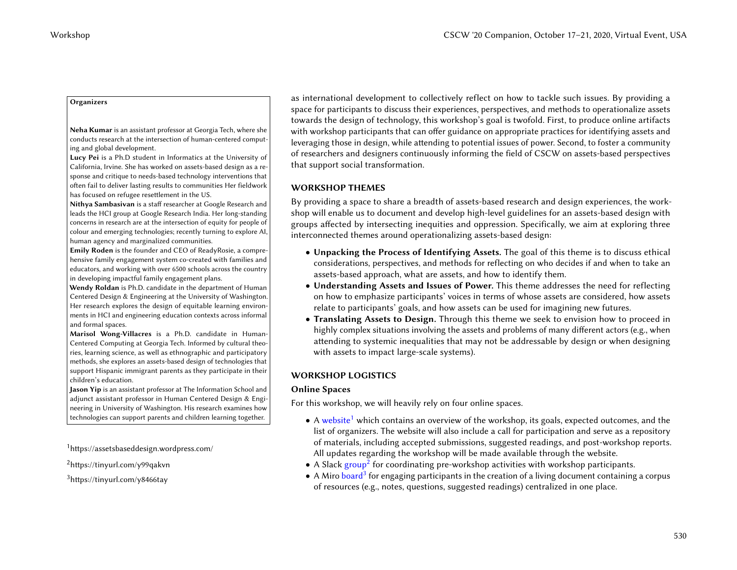#### **Organizers**

Neha Kumar is an assistant professor at Georgia Tech, where she conducts research at the intersection of human-centered computing and global development.

Lucy Pei is a Ph.D student in Informatics at the University of California, Irvine. She has worked on assets-based design as a response and critique to needs-based technology interventions that often fail to deliver lasting results to communities Her fieldwork has focused on refugee resettlement in the US.

Nithya Sambasivan is a staff researcher at Google Research and leads the HCI group at Google Research India. Her long-standing concerns in research are at the intersection of equity for people of colour and emerging technologies; recently turning to explore AI, human agency and marginalized communities.

Emily Roden is the founder and CEO of ReadyRosie, a comprehensive family engagement system co-created with families and educators, and working with over 6500 schools across the country in developing impactful family engagement plans.

Wendy Roldan is Ph.D. candidate in the department of Human Centered Design & Engineering at the University of Washington. Her research explores the design of equitable learning environments in HCI and engineering education contexts across informal and formal spaces.

Marisol Wong-Villacres is a Ph.D. candidate in Human-Centered Computing at Georgia Tech. Informed by cultural theories, learning science, as well as ethnographic and participatory methods, she explores an assets-based design of technologies that support Hispanic immigrant parents as they participate in their children's education.

Jason Yip is an assistant professor at The Information School and adjunct assistant professor in Human Centered Design & Engineering in University of Washington. His research examines how technologies can support parents and children learning together.

<span id="page-3-0"></span><sup>1</sup><https://assetsbaseddesign.wordpress.com/>

as international development to collectively reflect on how to tackle such issues. By providing a space for participants to discuss their experiences, perspectives, and methods to operationalize assets towards the design of technology, this workshop's goal is twofold. First, to produce online artifacts with workshop participants that can offer guidance on appropriate practices for identifying assets and leveraging those in design, while attending to potential issues of power. Second, to foster a community of researchers and designers continuously informing the field of CSCW on assets-based perspectives that support social transformation. Vocabuse  $CSPW$  20 Companion, October 17–21, 2020, Virtual Event, USA<br>
The main companion of the companion of the companion of the companion of the companion of the companion of the companion of the companion of the compan

# WORKSHOP THEMES

By providing a space to share a breadth of assets-based research and design experiences, the workshop will enable us to document and develop high-level guidelines for an assets-based design with groups affected by intersecting inequities and oppression. Specifically, we aim at exploring three interconnected themes around operationalizing assets-based design:

- Unpacking the Process of Identifying Assets. The goal of this theme is to discuss ethical considerations, perspectives, and methods for reflecting on who decides if and when to take an assets-based approach, what are assets, and how to identify them.
- Understanding Assets and Issues of Power. This theme addresses the need for reflecting on how to emphasize participants' voices in terms of whose assets are considered, how assets relate to participants' goals, and how assets can be used for imagining new futures.
- Translating Assets to Design. Through this theme we seek to envision how to proceed in highly complex situations involving the assets and problems of many different actors (e.g., when attending to systemic inequalities that may not be addressable by design or when designing with assets to impact large-scale systems).

# WORKSHOP LOGISTICS

# Online Spaces

For this workshop, we will heavily rely on four online spaces.

- $\bullet$  A [website](https://assetsbaseddesign.wordpress.com/)<sup>[1](#page-3-0)</sup> which contains an overview of the workshop, its goals, expected outcomes, and the list of organizers. The website will also include a call for participation and serve as a repository of materials, including accepted submissions, suggested readings, and post-workshop reports. All updates regarding the workshop will be made available through the website.
- <span id="page-3-1"></span>• A Slack [group](https://join.slack.com/t/assetsbasedde-pfv4898/shared_invite/zt-fg341pn6-_BBcx_z1w1gWYxCobXjL3w)[2](#page-3-1) for coordinating pre-workshop activities with workshop participants. <sup>2</sup><https://tinyurl.com/y99qakvn>
- <span id="page-3-2"></span> $^3$  $^3$ <https://tinyurl.com/y8466tay> extension of a living document containing a corpus  $\bullet$  A Miro [board](https://tinyurl.com/y8466tay)  $^3$  for engaging participants in the creation of a living document containing a corpus of resources (e.g., notes, questions, suggested readings) centralized in one place.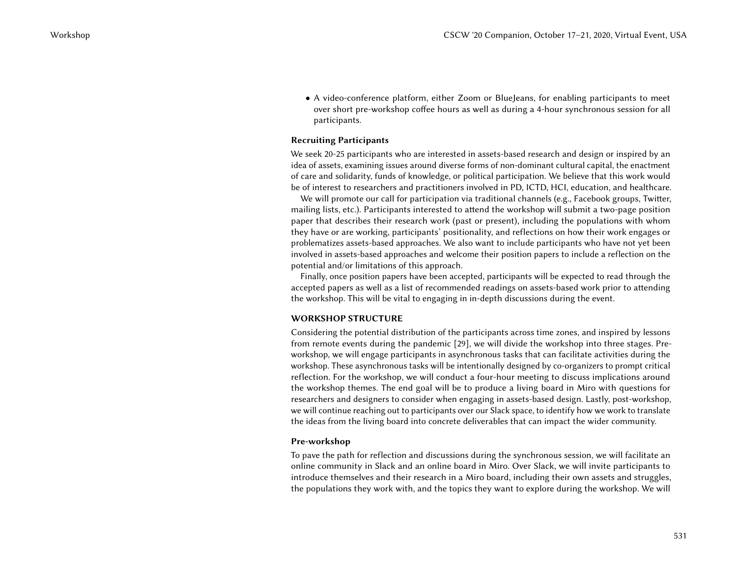• A video-conference platform, either Zoom or BlueJeans, for enabling participants to meet over short pre-workshop coffee hours as well as during a 4-hour synchronous session for all participants.

## Recruiting Participants

We seek 20-25 participants who are interested in assets-based research and design or inspired by an idea of assets, examining issues around diverse forms of non-dominant cultural capital, the enactment of care and solidarity, funds of knowledge, or political participation. We believe that this work would be of interest to researchers and practitioners involved in PD, ICTD, HCI, education, and healthcare.

We will promote our call for participation via traditional channels (e.g., Facebook groups, Twitter, mailing lists, etc.). Participants interested to attend the workshop will submit a two-page position paper that describes their research work (past or present), including the populations with whom they have or are working, participants' positionality, and reflections on how their work engages or problematizes assets-based approaches. We also want to include participants who have not yet been involved in assets-based approaches and welcome their position papers to include a reflection on the potential and/or limitations of this approach.

Finally, once position papers have been accepted, participants will be expected to read through the accepted papers as well as a list of recommended readings on assets-based work prior to attending the workshop. This will be vital to engaging in in-depth discussions during the event.

## WORKSHOP STRUCTURE

Considering the potential distribution of the participants across time zones, and inspired by lessons from remote events during the pandemic [\[29\]](#page-7-18), we will divide the workshop into three stages. Preworkshop, we will engage participants in asynchronous tasks that can facilitate activities during the workshop. These asynchronous tasks will be intentionally designed by co-organizers to prompt critical reflection. For the workshop, we will conduct a four-hour meeting to discuss implications around the workshop themes. The end goal will be to produce a living board in Miro with questions for researchers and designers to consider when engaging in assets-based design. Lastly, post-workshop, we will continue reaching out to participants over our Slack space, to identify how we work to translate the ideas from the living board into concrete deliverables that can impact the wider community. CSCW '20 Companion, October 17–21, 2020, Wirtual Event, USA<br>
• A Audio conference platform, either Zemen et Burghard, for eventling participants to every determined the participants of the companion of the companion of th

## Pre-workshop

To pave the path for reflection and discussions during the synchronous session, we will facilitate an online community in Slack and an online board in Miro. Over Slack, we will invite participants to introduce themselves and their research in a Miro board, including their own assets and struggles, the populations they work with, and the topics they want to explore during the workshop. We will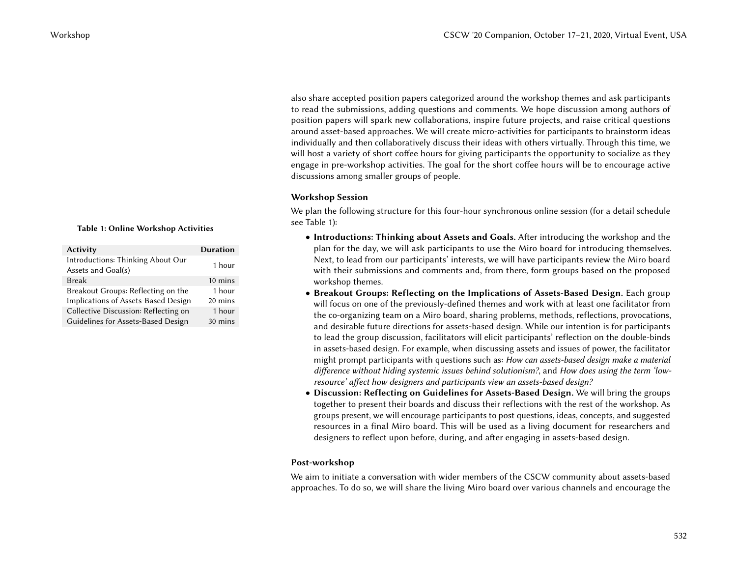also share accepted position papers categorized around the workshop themes and ask participants to read the submissions, adding questions and comments. We hope discussion among authors of position papers will spark new collaborations, inspire future projects, and raise critical questions around asset-based approaches. We will create micro-activities for participants to brainstorm ideas individually and then collaboratively discuss their ideas with others virtually. Through this time, we will host a variety of short coffee hours for giving participants the opportunity to socialize as they engage in pre-workshop activities. The goal for the short coffee hours will be to encourage active discussions among smaller groups of people.

## Workshop Session

We plan the following structure for this four-hour synchronous online session (for a detail schedule see Table [1\)](#page-5-0):

- Introductions: Thinking about Assets and Goals. After introducing the workshop and the plan for the day, we will ask participants to use the Miro board for introducing themselves. Next, to lead from our participants' interests, we will have participants review the Miro board with their submissions and comments and, from there, form groups based on the proposed workshop themes.
- Breakout Groups: Reflecting on the Implications of Assets-Based Design. Each group will focus on one of the previously-defined themes and work with at least one facilitator from the co-organizing team on a Miro board, sharing problems, methods, reflections, provocations, and desirable future directions for assets-based design. While our intention is for participants to lead the group discussion, facilitators will elicit participants' reflection on the double-binds in assets-based design. For example, when discussing assets and issues of power, the facilitator might prompt participants with questions such as: How can assets-based design make a material difference without hiding systemic issues behind solutionism?, and How does using the term 'lowresource' affect how designers and participants view an assets-based design? CSCW 20 Companion, October 17–21, 2020, Was chosen and the same of the result of the same of the same of the same of the same of the same of the same of the same of the same of the same of the same of the same of the same
	- Discussion: Reflecting on Guidelines for Assets-Based Design. We will bring the groups together to present their boards and discuss their reflections with the rest of the workshop. As groups present, we will encourage participants to post questions, ideas, concepts, and suggested resources in a final Miro board. This will be used as a living document for researchers and designers to reflect upon before, during, and after engaging in assets-based design.

# <span id="page-5-0"></span>Post-workshop

We aim to initiate a conversation with wider members of the CSCW community about assets-based approaches. To do so, we will share the living Miro board over various channels and encourage the

## Table 1: Online Workshop Activities

| <b>Activity</b>                                         | <b>Duration</b>   |
|---------------------------------------------------------|-------------------|
| Introductions: Thinking About Our<br>Assets and Goal(s) | 1 hour            |
| <b>Break</b>                                            | $10 \text{ mins}$ |
| Breakout Groups: Reflecting on the                      | 1 hour            |
| Implications of Assets-Based Design                     | 20 mins           |
| Collective Discussion: Reflecting on                    | 1 hour            |
| Guidelines for Assets-Based Design                      | 30 mins           |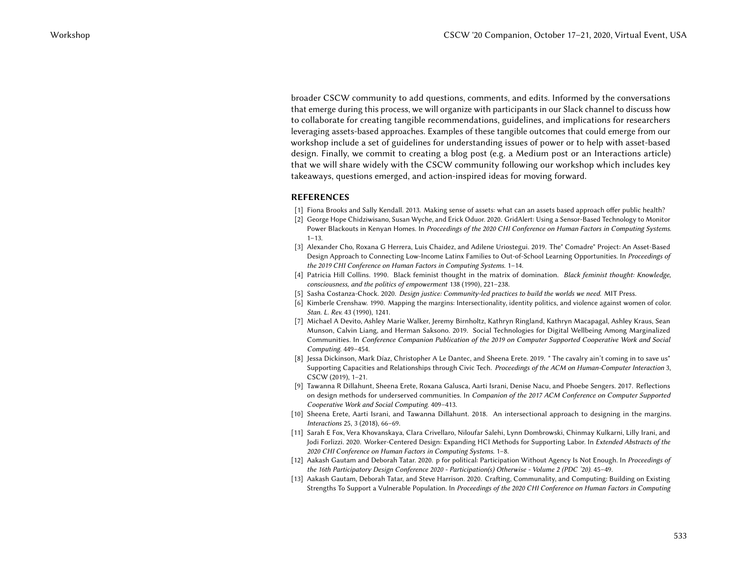broader CSCW community to add questions, comments, and edits. Informed by the conversations that emerge during this process, we will organize with participants in our Slack channel to discuss how to collaborate for creating tangible recommendations, guidelines, and implications for researchers leveraging assets-based approaches. Examples of these tangible outcomes that could emerge from our workshop include a set of guidelines for understanding issues of power or to help with asset-based design. Finally, we commit to creating a blog post (e.g. a Medium post or an Interactions article) that we will share widely with the CSCW community following our workshop which includes key takeaways, questions emerged, and action-inspired ideas for moving forward. CSCW 22 Companion, October 17–21, 2020, Victorian Principal CSCW 23 Companion, October 17–21, 2020, Victorial Companion, October 17–21, 2020, Victorial Companion, October 17–21, 2020, Victorial Companion, October 17–21, 2

## REFERENCES

- <span id="page-6-2"></span>[1] Fiona Brooks and Sally Kendall. 2013. Making sense of assets: what can an assets based approach offer public health?
- <span id="page-6-3"></span>[2] George Hope Chidziwisano, Susan Wyche, and Erick Oduor. 2020. GridAlert: Using a Sensor-Based Technology to Monitor Power Blackouts in Kenyan Homes. In Proceedings of the 2020 CHI Conference on Human Factors in Computing Systems.  $1 - 13$ .
- <span id="page-6-9"></span>[3] Alexander Cho, Roxana G Herrera, Luis Chaidez, and Adilene Uriostegui. 2019. The" Comadre" Project: An Asset-Based Design Approach to Connecting Low-Income Latinx Families to Out-of-School Learning Opportunities. In Proceedings of the 2019 CHI Conference on Human Factors in Computing Systems. 1–14.
- <span id="page-6-0"></span>[4] Patricia Hill Collins. 1990. Black feminist thought in the matrix of domination. Black feminist thought: Knowledge, consciousness, and the politics of empowerment 138 (1990), 221–238.
- [5] Sasha Costanza-Chock. 2020. Design justice: Community-led practices to build the worlds we need. MIT Press.
- <span id="page-6-1"></span>[6] Kimberle Crenshaw. 1990. Mapping the margins: Intersectionality, identity politics, and violence against women of color. Stan. L. Rev. 43 (1990), 1241.
- <span id="page-6-6"></span>[7] Michael A Devito, Ashley Marie Walker, Jeremy Birnholtz, Kathryn Ringland, Kathryn Macapagal, Ashley Kraus, Sean Munson, Calvin Liang, and Herman Saksono. 2019. Social Technologies for Digital Wellbeing Among Marginalized Communities. In Conference Companion Publication of the 2019 on Computer Supported Cooperative Work and Social Computing. 449–454.
- <span id="page-6-7"></span>[8] Jessa Dickinson, Mark Díaz, Christopher A Le Dantec, and Sheena Erete. 2019. " The cavalry ain't coming in to save us" Supporting Capacities and Relationships through Civic Tech. Proceedings of the ACM on Human-Computer Interaction 3, CSCW (2019), 1–21.
- <span id="page-6-4"></span>[9] Tawanna R Dillahunt, Sheena Erete, Roxana Galusca, Aarti Israni, Denise Nacu, and Phoebe Sengers. 2017. Reflections on design methods for underserved communities. In Companion of the 2017 ACM Conference on Computer Supported Cooperative Work and Social Computing. 409–413.
- <span id="page-6-5"></span>[10] Sheena Erete, Aarti Israni, and Tawanna Dillahunt. 2018. An intersectional approach to designing in the margins. Interactions 25, 3 (2018), 66–69.
- <span id="page-6-8"></span>[11] Sarah E Fox, Vera Khovanskaya, Clara Crivellaro, Niloufar Salehi, Lynn Dombrowski, Chinmay Kulkarni, Lilly Irani, and Jodi Forlizzi. 2020. Worker-Centered Design: Expanding HCI Methods for Supporting Labor. In Extended Abstracts of the 2020 CHI Conference on Human Factors in Computing Systems. 1–8.
- <span id="page-6-11"></span>[12] Aakash Gautam and Deborah Tatar. 2020. p for political: Participation Without Agency Is Not Enough. In Proceedings of the 16th Participatory Design Conference 2020 - Participation(s) Otherwise - Volume 2 (PDC '20). 45–49.
- <span id="page-6-10"></span>[13] Aakash Gautam, Deborah Tatar, and Steve Harrison. 2020. Crafting, Communality, and Computing: Building on Existing Strengths To Support a Vulnerable Population. In Proceedings of the 2020 CHI Conference on Human Factors in Computing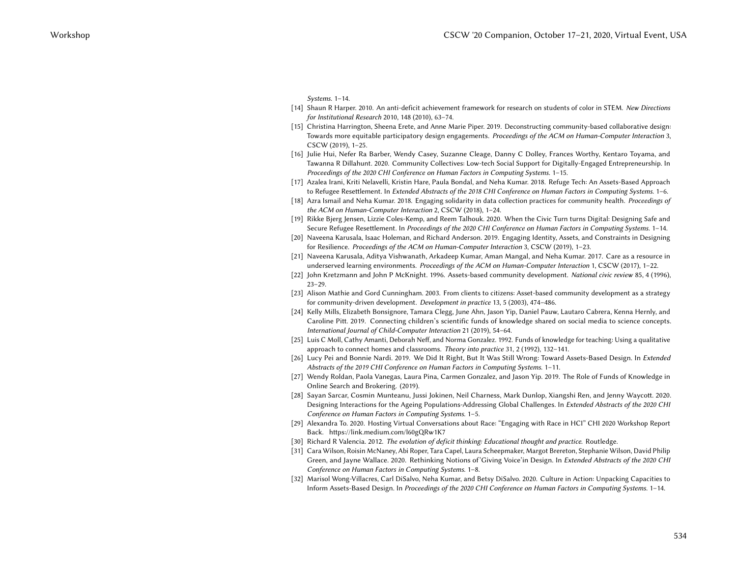Systems. 1–14.

- <span id="page-7-3"></span>[14] Shaun R Harper. 2010. An anti-deficit achievement framework for research on students of color in STEM. New Directions for Institutional Research 2010, 148 (2010), 63–74.
- <span id="page-7-17"></span>[15] Christina Harrington, Sheena Erete, and Anne Marie Piper. 2019. Deconstructing community-based collaborative design: Towards more equitable participatory design engagements. Proceedings of the ACM on Human-Computer Interaction 3, CSCW (2019), 1–25.
- <span id="page-7-9"></span>[16] Julie Hui, Nefer Ra Barber, Wendy Casey, Suzanne Cleage, Danny C Dolley, Frances Worthy, Kentaro Toyama, and Tawanna R Dillahunt. 2020. Community Collectives: Low-tech Social Support for Digitally-Engaged Entrepreneurship. In Proceedings of the 2020 CHI Conference on Human Factors in Computing Systems. 1–15.
- <span id="page-7-16"></span>[17] Azalea Irani, Kriti Nelavelli, Kristin Hare, Paula Bondal, and Neha Kumar. 2018. Refuge Tech: An Assets-Based Approach to Refugee Resettlement. In Extended Abstracts of the 2018 CHI Conference on Human Factors in Computing Systems. 1–6.
- <span id="page-7-13"></span>[18] Azra Ismail and Neha Kumar. 2018. Engaging solidarity in data collection practices for community health. Proceedings of the ACM on Human-Computer Interaction 2, CSCW (2018), 1–24.
- <span id="page-7-0"></span>[19] Rikke Bjerg Jensen, Lizzie Coles-Kemp, and Reem Talhouk. 2020. When the Civic Turn turns Digital: Designing Safe and Secure Refugee Resettlement. In Proceedings of the 2020 CHI Conference on Human Factors in Computing Systems. 1–14.
- <span id="page-7-15"></span>[20] Naveena Karusala, Isaac Holeman, and Richard Anderson. 2019. Engaging Identity, Assets, and Constraints in Designing for Resilience. Proceedings of the ACM on Human-Computer Interaction 3, CSCW (2019), 1-23.
- <span id="page-7-12"></span>[21] Naveena Karusala, Aditya Vishwanath, Arkadeep Kumar, Aman Mangal, and Neha Kumar. 2017. Care as a resource in underserved learning environments. Proceedings of the ACM on Human-Computer Interaction 1, CSCW (2017), 1-22.
- <span id="page-7-4"></span>[22] John Kretzmann and John P McKnight. 1996. Assets-based community development. National civic review 85, 4 (1996), 23–29.
- <span id="page-7-18"></span><span id="page-7-14"></span><span id="page-7-11"></span><span id="page-7-10"></span><span id="page-7-8"></span><span id="page-7-7"></span><span id="page-7-6"></span><span id="page-7-5"></span><span id="page-7-2"></span><span id="page-7-1"></span>[23] Alison Mathie and Gord Cunningham. 2003. From clients to citizens: Asset-based community development as a strategy for community-driven development. Development in practice 13, 5 (2003), 474–486.
- [24] Kelly Mills, Elizabeth Bonsignore, Tamara Clegg, June Ahn, Jason Yip, Daniel Pauw, Lautaro Cabrera, Kenna Hernly, and Caroline Pitt. 2019. Connecting children's scientific funds of knowledge shared on social media to science concepts. International Journal of Child-Computer Interaction 21 (2019), 54–64. CSCW 22 Companion, October 17–21, 2020, Virtual Event, USA<br>
Using the state of the state of the state of the state of the state of the state of the state of the state of the state of the state of the state of the state of
	- [25] Luis C Moll, Cathy Amanti, Deborah Neff, and Norma Gonzalez. 1992. Funds of knowledge for teaching: Using a qualitative approach to connect homes and classrooms. Theory into practice 31, 2 (1992), 132–141.
	- [26] Lucy Pei and Bonnie Nardi. 2019. We Did It Right, But It Was Still Wrong: Toward Assets-Based Design. In Extended Abstracts of the 2019 CHI Conference on Human Factors in Computing Systems. 1–11.
	- [27] Wendy Roldan, Paola Vanegas, Laura Pina, Carmen Gonzalez, and Jason Yip. 2019. The Role of Funds of Knowledge in Online Search and Brokering. (2019).
	- [28] Sayan Sarcar, Cosmin Munteanu, Jussi Jokinen, Neil Charness, Mark Dunlop, Xiangshi Ren, and Jenny Waycott. 2020. Designing Interactions for the Ageing Populations-Addressing Global Challenges. In Extended Abstracts of the 2020 CHI Conference on Human Factors in Computing Systems. 1–5.
	- [29] Alexandra To. 2020. Hosting Virtual Conversations about Race: "Engaging with Race in HCI" CHI 2020 Workshop Report Back.<https://link.medium.com/l60gQRw1K7>
	- [30] Richard R Valencia. 2012. The evolution of deficit thinking: Educational thought and practice. Routledge.
	- [31] Cara Wilson, Roisin McNaney, Abi Roper, Tara Capel, Laura Scheepmaker, Margot Brereton, Stephanie Wilson, David Philip Green, and Jayne Wallace. 2020. Rethinking Notions of'Giving Voice'in Design. In Extended Abstracts of the 2020 CHI Conference on Human Factors in Computing Systems. 1–8.
	- [32] Marisol Wong-Villacres, Carl DiSalvo, Neha Kumar, and Betsy DiSalvo. 2020. Culture in Action: Unpacking Capacities to Inform Assets-Based Design. In Proceedings of the 2020 CHI Conference on Human Factors in Computing Systems. 1–14.